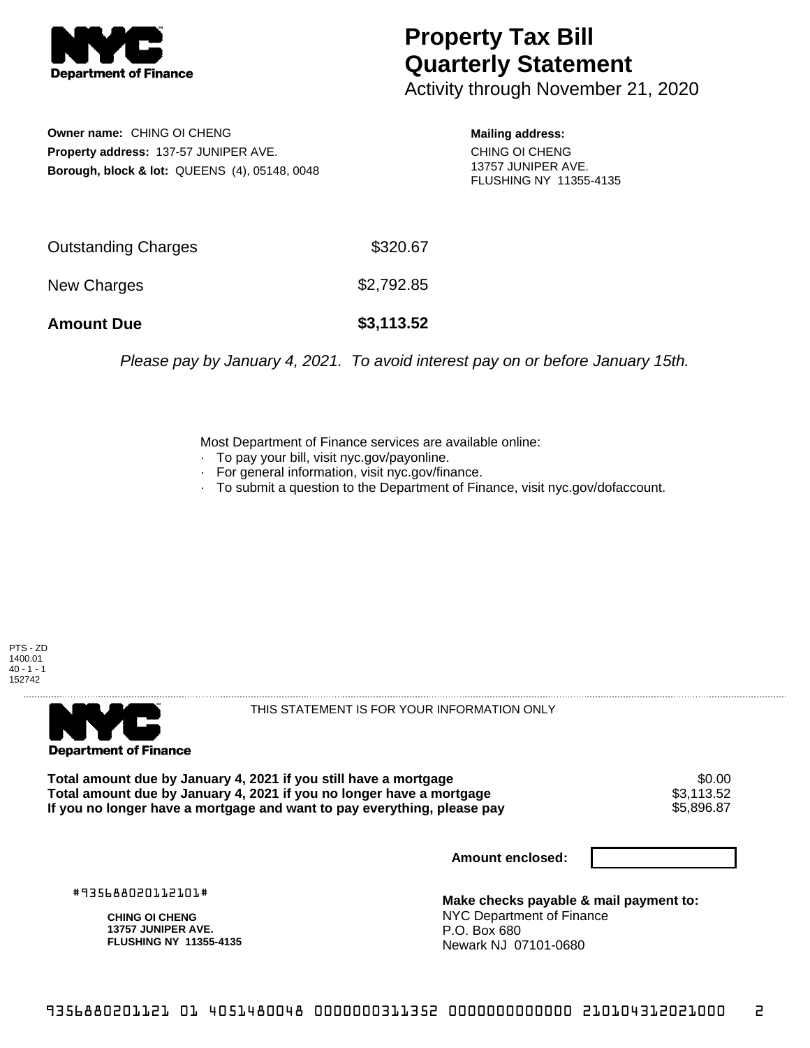

## **Property Tax Bill Quarterly Statement**

Activity through November 21, 2020

**Owner name:** CHING OI CHENG **Property address:** 137-57 JUNIPER AVE. **Borough, block & lot:** QUEENS (4), 05148, 0048

**Mailing address:** CHING OI CHENG 13757 JUNIPER AVE. FLUSHING NY 11355-4135

| Outstanding Charges | \$320.67   |
|---------------------|------------|
| New Charges         | \$2,792.85 |
| <b>Amount Due</b>   | \$3,113.52 |

Please pay by January 4, 2021. To avoid interest pay on or before January 15th.

Most Department of Finance services are available online:

- · To pay your bill, visit nyc.gov/payonline.
- For general information, visit nyc.gov/finance.
- · To submit a question to the Department of Finance, visit nyc.gov/dofaccount.





THIS STATEMENT IS FOR YOUR INFORMATION ONLY

Total amount due by January 4, 2021 if you still have a mortgage \$0.00<br>Total amount due by January 4, 2021 if you no longer have a mortgage \$3.113.52 **Total amount due by January 4, 2021 if you no longer have a mortgage**  $$3,113.52$$ **<br>If you no longer have a mortgage and want to pay everything, please pay** If you no longer have a mortgage and want to pay everything, please pay

**Amount enclosed:**

#935688020112101#

**CHING OI CHENG 13757 JUNIPER AVE. FLUSHING NY 11355-4135**

**Make checks payable & mail payment to:** NYC Department of Finance P.O. Box 680 Newark NJ 07101-0680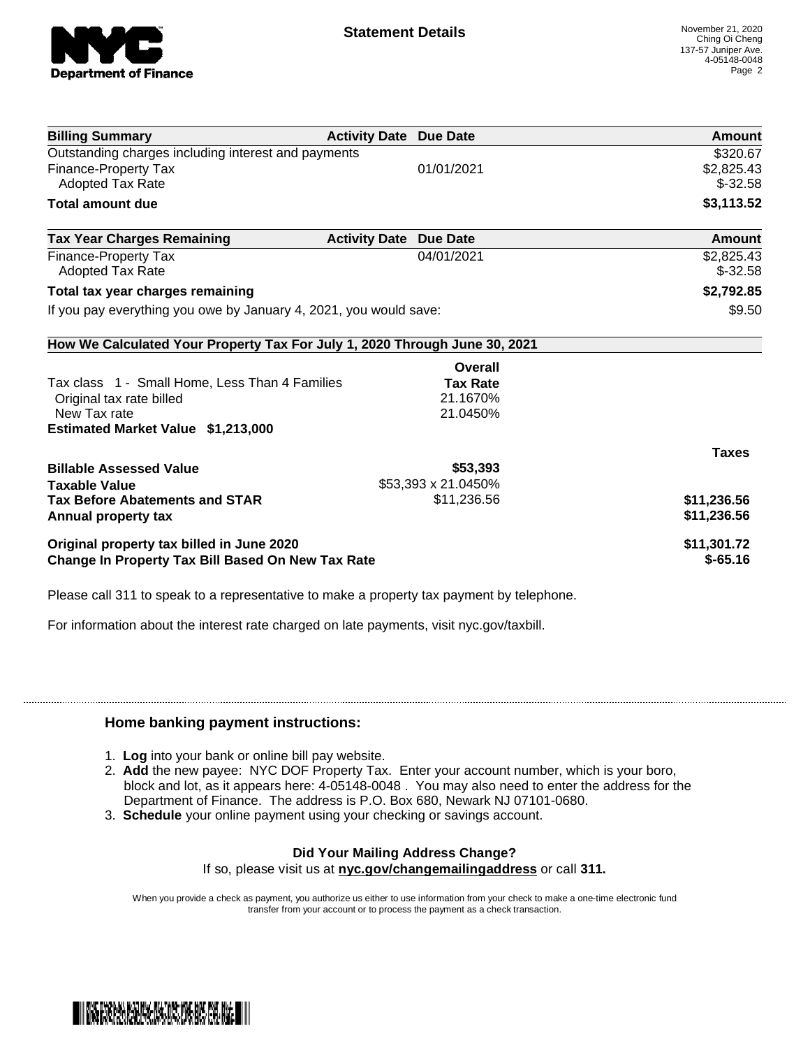

| <b>Billing Summary</b>                                                     | <b>Activity Date Due Date</b> |                     | Amount        |
|----------------------------------------------------------------------------|-------------------------------|---------------------|---------------|
| Outstanding charges including interest and payments                        |                               |                     | \$320.67      |
| <b>Finance-Property Tax</b>                                                |                               | 01/01/2021          | \$2,825.43    |
| <b>Adopted Tax Rate</b>                                                    |                               |                     | $$-32.58$     |
| <b>Total amount due</b>                                                    |                               |                     | \$3,113.52    |
| <b>Tax Year Charges Remaining</b>                                          | <b>Activity Date</b>          | <b>Due Date</b>     | <b>Amount</b> |
| Finance-Property Tax                                                       |                               | 04/01/2021          | \$2,825.43    |
| <b>Adopted Tax Rate</b>                                                    |                               |                     | $$-32.58$     |
| Total tax year charges remaining                                           |                               |                     | \$2,792.85    |
| If you pay everything you owe by January 4, 2021, you would save:          |                               |                     | \$9.50        |
| How We Calculated Your Property Tax For July 1, 2020 Through June 30, 2021 |                               |                     |               |
|                                                                            |                               | Overall             |               |
| Tax class 1 - Small Home, Less Than 4 Families                             |                               | <b>Tax Rate</b>     |               |
| Original tax rate billed                                                   |                               | 21.1670%            |               |
| New Tax rate                                                               |                               | 21.0450%            |               |
| Estimated Market Value \$1,213,000                                         |                               |                     |               |
|                                                                            |                               |                     | <b>Taxes</b>  |
| <b>Billable Assessed Value</b>                                             |                               | \$53,393            |               |
| <b>Taxable Value</b>                                                       |                               | \$53,393 x 21.0450% |               |
| <b>Tax Before Abatements and STAR</b>                                      |                               | \$11,236.56         | \$11,236.56   |
| Annual property tax                                                        |                               |                     | \$11,236.56   |
| Original property tax billed in June 2020                                  |                               |                     | \$11,301.72   |
| <b>Change In Property Tax Bill Based On New Tax Rate</b>                   |                               |                     | $$-65.16$     |

Please call 311 to speak to a representative to make a property tax payment by telephone.

For information about the interest rate charged on late payments, visit nyc.gov/taxbill.

## **Home banking payment instructions:**

- 1. **Log** into your bank or online bill pay website.
- 2. **Add** the new payee: NYC DOF Property Tax. Enter your account number, which is your boro, block and lot, as it appears here: 4-05148-0048 . You may also need to enter the address for the Department of Finance. The address is P.O. Box 680, Newark NJ 07101-0680.
- 3. **Schedule** your online payment using your checking or savings account.

## **Did Your Mailing Address Change?**

If so, please visit us at **nyc.gov/changemailingaddress** or call **311.**

When you provide a check as payment, you authorize us either to use information from your check to make a one-time electronic fund transfer from your account or to process the payment as a check transaction.